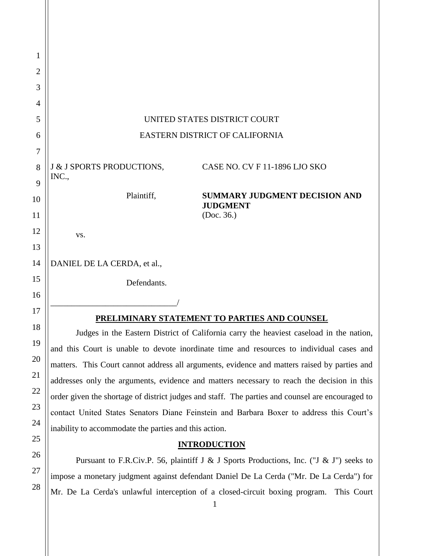| 1              |                                                                                                  |
|----------------|--------------------------------------------------------------------------------------------------|
| $\overline{2}$ |                                                                                                  |
| 3              |                                                                                                  |
| 4              |                                                                                                  |
| 5              | UNITED STATES DISTRICT COURT                                                                     |
| 6              | EASTERN DISTRICT OF CALIFORNIA                                                                   |
| 7              |                                                                                                  |
| 8<br>9         | J & J SPORTS PRODUCTIONS, CASE NO. CV F 11-1896 LJO SKO<br>INC.,                                 |
| 10             | Plaintiff,<br><b>SUMMARY JUDGMENT DECISION AND</b>                                               |
| 11             | <b>JUDGMENT</b><br>(Doc. 36.)                                                                    |
| 12             | VS.                                                                                              |
| 13             |                                                                                                  |
| 14             | DANIEL DE LA CERDA, et al.,                                                                      |
| 15             | Defendants.                                                                                      |
| 16             |                                                                                                  |
| 17             | PRELIMINARY STATEMENT TO PARTIES AND COUNSEL                                                     |
| 18             | Judges in the Eastern District of California carry the heaviest caseload in the nation,          |
| 19             | and this Court is unable to devote inordinate time and resources to individual cases and         |
| 20             | matters. This Court cannot address all arguments, evidence and matters raised by parties and     |
| 21             | addresses only the arguments, evidence and matters necessary to reach the decision in this       |
| 22             | order given the shortage of district judges and staff. The parties and counsel are encouraged to |
| 23             | contact United States Senators Diane Feinstein and Barbara Boxer to address this Court's         |
| 24             | inability to accommodate the parties and this action.                                            |
| 25             | <b>INTRODUCTION</b>                                                                              |
| 26             | Pursuant to F.R.Civ.P. 56, plaintiff J & J Sports Productions, Inc. ("J & J") seeks to           |
| 27             | impose a monetary judgment against defendant Daniel De La Cerda ("Mr. De La Cerda") for          |
| 28             | Mr. De La Cerda's unlawful interception of a closed-circuit boxing program.<br>This Court        |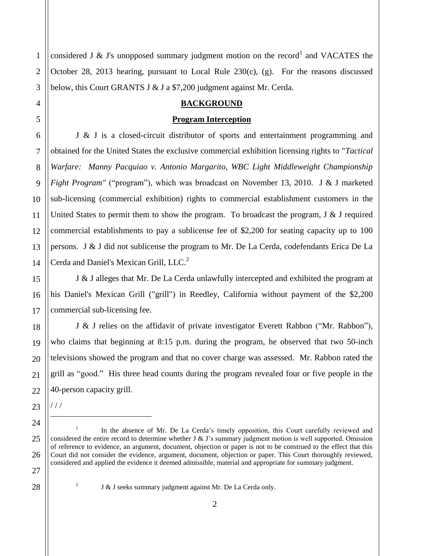3 considered J & J's unopposed summary judgment motion on the record<sup>1</sup> and VACATES the October 28, 2013 hearing, pursuant to Local Rule  $230(c)$ , (g). For the reasons discussed below, this Court GRANTS J & J a \$7,200 judgment against Mr. Cerda.

# **BACKGROUND**

#### **Program Interception**

J & J is a closed-circuit distributor of sports and entertainment programming and obtained for the United States the exclusive commercial exhibition licensing rights to "*Tactical Warfare: Manny Pacquiao v. Antonio Margarito, WBC Light Middleweight Championship Fight Program"* ("program"), which was broadcast on November 13, 2010. J & J marketed sub-licensing (commercial exhibition) rights to commercial establishment customers in the United States to permit them to show the program. To broadcast the program,  $J \& J$  required commercial establishments to pay a sublicense fee of \$2,200 for seating capacity up to 100 persons. J & J did not sublicense the program to Mr. De La Cerda, codefendants Erica De La Cerda and Daniel's Mexican Grill, LLC.<sup>2</sup>

J & J alleges that Mr. De La Cerda unlawfully intercepted and exhibited the program at his Daniel's Mexican Grill ("grill") in Reedley, California without payment of the \$2,200 commercial sub-licensing fee.

J & J relies on the affidavit of private investigator Everett Rabbon ("Mr. Rabbon"), who claims that beginning at 8:15 p.m. during the program, he observed that two 50-inch televisions showed the program and that no cover charge was assessed. Mr. Rabbon rated the grill as "good." His three head counts during the program revealed four or five people in the 40-person capacity grill.

23

/ / /  $\overline{a}$ 

2

1

2

4

5

6

7

8

9

10

11

12

13

14

15

16

17

18

19

20

21

22

24

25

26

J & J seeks summary judgment against Mr. De La Cerda only.

<sup>1</sup> In the absence of Mr. De La Cerda's timely opposition, this Court carefully reviewed and considered the entire record to determine whether J & J's summary judgment motion is well supported. Omission of reference to evidence, an argument, document, objection or paper is not to be construed to the effect that this Court did not consider the evidence, argument, document, objection or paper. This Court thoroughly reviewed, considered and applied the evidence it deemed admissible, material and appropriate for summary judgment.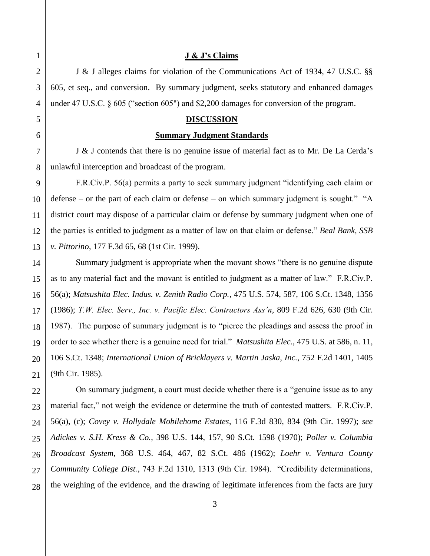#### **J & J's Claims**

J & J alleges claims for violation of the Communications Act of 1934, 47 U.S.C. §§ 605, et seq., and conversion. By summary judgment, seeks statutory and enhanced damages under 47 U.S.C. § 605 ("section 605") and \$2,200 damages for conversion of the program.

# **DISCUSSION**

#### **Summary Judgment Standards**

J & J contends that there is no genuine issue of material fact as to Mr. De La Cerda's unlawful interception and broadcast of the program.

F.R.Civ.P. 56(a) permits a party to seek summary judgment "identifying each claim or defense – or the part of each claim or defense – on which summary judgment is sought." "A district court may dispose of a particular claim or defense by summary judgment when one of the parties is entitled to judgment as a matter of law on that claim or defense." *Beal Bank, SSB v. Pittorino*, 177 F.3d 65, 68 (1st Cir. 1999).

Summary judgment is appropriate when the movant shows "there is no genuine dispute as to any material fact and the movant is entitled to judgment as a matter of law." F.R.Civ.P. 56(a); *Matsushita Elec. Indus. v. Zenith Radio Corp.*, 475 U.S. 574, 587, 106 S.Ct. 1348, 1356 (1986); *T.W. Elec. Serv., Inc. v. Pacific Elec. Contractors Ass'n*, 809 F.2d 626, 630 (9th Cir. 1987). The purpose of summary judgment is to "pierce the pleadings and assess the proof in order to see whether there is a genuine need for trial." *Matsushita Elec.*, 475 U.S. at 586, n. 11, 106 S.Ct. 1348; *International Union of Bricklayers v. Martin Jaska, Inc.*, 752 F.2d 1401, 1405 (9th Cir. 1985).

On summary judgment, a court must decide whether there is a "genuine issue as to any material fact," not weigh the evidence or determine the truth of contested matters. F.R.Civ.P. 56(a), (c); *Covey v. Hollydale Mobilehome Estates*, 116 F.3d 830, 834 (9th Cir. 1997); *see Adickes v. S.H. Kress & Co.*, 398 U.S. 144, 157, 90 S.Ct. 1598 (1970); *Poller v. Columbia Broadcast System*, 368 U.S. 464, 467, 82 S.Ct. 486 (1962); *Loehr v. Ventura County Community College Dist.*, 743 F.2d 1310, 1313 (9th Cir. 1984). "Credibility determinations, the weighing of the evidence, and the drawing of legitimate inferences from the facts are jury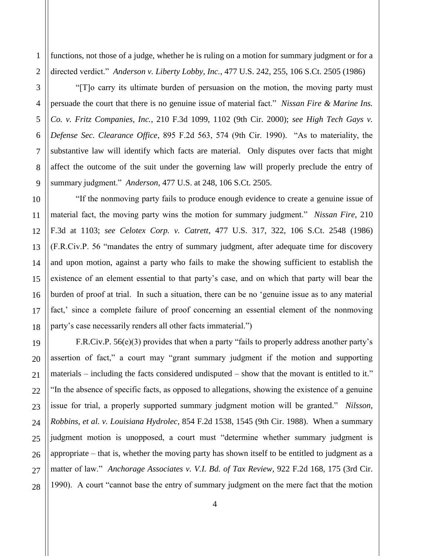1 functions, not those of a judge, whether he is ruling on a motion for summary judgment or for a directed verdict." *Anderson v. Liberty Lobby, Inc.*, 477 U.S. 242, 255, 106 S.Ct. 2505 (1986)

"[T]o carry its ultimate burden of persuasion on the motion, the moving party must persuade the court that there is no genuine issue of material fact." *Nissan Fire & Marine Ins. Co. v. Fritz Companies, Inc.*, 210 F.3d 1099, 1102 (9th Cir. 2000); *see High Tech Gays v. Defense Sec. Clearance Office*, 895 F.2d 563, 574 (9th Cir. 1990). "As to materiality, the substantive law will identify which facts are material. Only disputes over facts that might affect the outcome of the suit under the governing law will properly preclude the entry of summary judgment." *Anderson*, 477 U.S. at 248, 106 S.Ct. 2505.

"If the nonmoving party fails to produce enough evidence to create a genuine issue of material fact, the moving party wins the motion for summary judgment." *Nissan Fire*, 210 F.3d at 1103; *see Celotex Corp. v. Catrett*, 477 U.S. 317, 322, 106 S.Ct. 2548 (1986) (F.R.Civ.P. 56 "mandates the entry of summary judgment, after adequate time for discovery and upon motion, against a party who fails to make the showing sufficient to establish the existence of an element essential to that party's case, and on which that party will bear the burden of proof at trial. In such a situation, there can be no 'genuine issue as to any material fact,' since a complete failure of proof concerning an essential element of the nonmoving party's case necessarily renders all other facts immaterial.")

F.R.Civ.P. 56(e)(3) provides that when a party "fails to properly address another party's assertion of fact," a court may "grant summary judgment if the motion and supporting materials – including the facts considered undisputed – show that the movant is entitled to it." "In the absence of specific facts, as opposed to allegations, showing the existence of a genuine issue for trial, a properly supported summary judgment motion will be granted." *Nilsson, Robbins, et al. v. Louisiana Hydrolec*, 854 F.2d 1538, 1545 (9th Cir. 1988). When a summary judgment motion is unopposed, a court must "determine whether summary judgment is appropriate – that is, whether the moving party has shown itself to be entitled to judgment as a matter of law." *Anchorage Associates v. V.I. Bd. of Tax Review*, 922 F.2d 168, 175 (3rd Cir. 1990). A court "cannot base the entry of summary judgment on the mere fact that the motion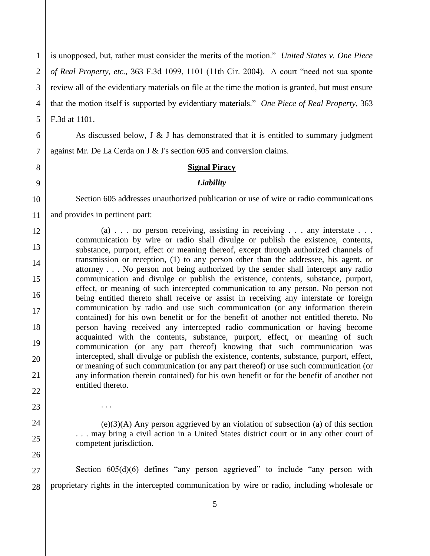1 2 3 4 5 is unopposed, but, rather must consider the merits of the motion." *United States v. One Piece of Real Property, etc.*, 363 F.3d 1099, 1101 (11th Cir. 2004). A court "need not sua sponte review all of the evidentiary materials on file at the time the motion is granted, but must ensure that the motion itself is supported by evidentiary materials." *One Piece of Real Property*, 363 F.3d at 1101.

As discussed below,  $J \& J$  has demonstrated that it is entitled to summary judgment against Mr. De La Cerda on J & J's section 605 and conversion claims.

6

7

8

9

10

11

12

13

14

15

16

17

18

19

20

21

22

23

. . .

24

25

26

#### **Signal Piracy**

#### *Liability*

Section 605 addresses unauthorized publication or use of wire or radio communications and provides in pertinent part:

(a) . . . no person receiving, assisting in receiving . . . any interstate . . . communication by wire or radio shall divulge or publish the existence, contents, substance, purport, effect or meaning thereof, except through authorized channels of transmission or reception, (1) to any person other than the addressee, his agent, or attorney . . . No person not being authorized by the sender shall intercept any radio communication and divulge or publish the existence, contents, substance, purport, effect, or meaning of such intercepted communication to any person. No person not being entitled thereto shall receive or assist in receiving any interstate or foreign communication by radio and use such communication (or any information therein contained) for his own benefit or for the benefit of another not entitled thereto. No person having received any intercepted radio communication or having become acquainted with the contents, substance, purport, effect, or meaning of such communication (or any part thereof) knowing that such communication was intercepted, shall divulge or publish the existence, contents, substance, purport, effect, or meaning of such communication (or any part thereof) or use such communication (or any information therein contained) for his own benefit or for the benefit of another not entitled thereto.

(e)(3)(A) Any person aggrieved by an violation of subsection (a) of this section . . . may bring a civil action in a United States district court or in any other court of competent jurisdiction.

27 28 Section  $605(d)(6)$  defines "any person aggrieved" to include "any person with proprietary rights in the intercepted communication by wire or radio, including wholesale or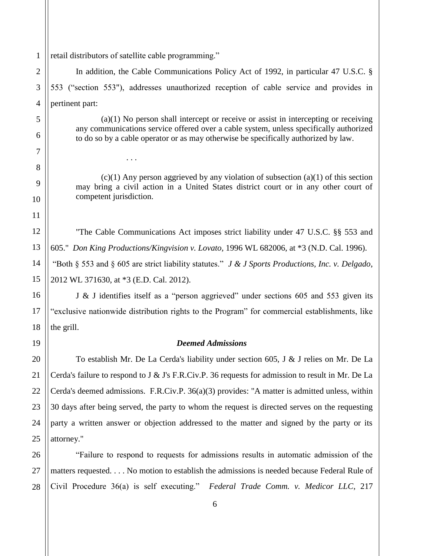1 retail distributors of satellite cable programming."

. . .

In addition, the Cable Communications Policy Act of 1992, in particular 47 U.S.C. § 553 ("section 553"), addresses unauthorized reception of cable service and provides in pertinent part:

(a)(1) No person shall intercept or receive or assist in intercepting or receiving any communications service offered over a cable system, unless specifically authorized to do so by a cable operator or as may otherwise be specifically authorized by law.

 $(c)(1)$  Any person aggrieved by any violation of subsection  $(a)(1)$  of this section may bring a civil action in a United States district court or in any other court of competent jurisdiction.

"The Cable Communications Act imposes strict liability under 47 U.S.C. §§ 553 and 605." *Don King Productions/Kingvision v. Lovato,* 1996 WL 682006, at \*3 (N.D. Cal. 1996). "Both § 553 and § 605 are strict liability statutes." *J & J Sports Productions, Inc. v. Delgado*, 2012 WL 371630, at \*3 (E.D. Cal. 2012).

J & J identifies itself as a "person aggrieved" under sections 605 and 553 given its "exclusive nationwide distribution rights to the Program" for commercial establishments, like the grill.

#### *Deemed Admissions*

To establish Mr. De La Cerda's liability under section 605, J & J relies on Mr. De La Cerda's failure to respond to J & J's F.R.Civ.P. 36 requests for admission to result in Mr. De La Cerda's deemed admissions. F.R.Civ.P. 36(a)(3) provides: "A matter is admitted unless, within 30 days after being served, the party to whom the request is directed serves on the requesting party a written answer or objection addressed to the matter and signed by the party or its attorney."

"Failure to respond to requests for admissions results in automatic admission of the matters requested. . . . No motion to establish the admissions is needed because Federal Rule of Civil Procedure 36(a) is self executing." *Federal Trade Comm. v. Medicor LLC*, 217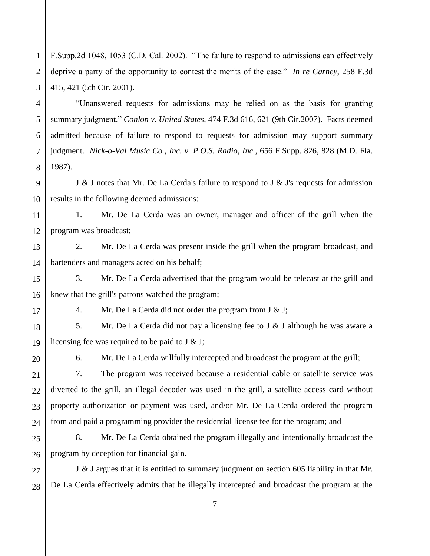2 3 F.Supp.2d 1048, 1053 (C.D. Cal. 2002). "The failure to respond to admissions can effectively deprive a party of the opportunity to contest the merits of the case." *In re Carney*, 258 F.3d 415, 421 (5th Cir. 2001).

"Unanswered requests for admissions may be relied on as the basis for granting summary judgment." *Conlon v. United States*, 474 F.3d 616, 621 (9th Cir.2007). Facts deemed admitted because of failure to respond to requests for admission may support summary judgment. *Nick-o-Val Music Co., Inc. v. P.O.S. Radio, Inc.*, 656 F.Supp. 826, 828 (M.D. Fla. 1987).

J & J notes that Mr. De La Cerda's failure to respond to J & J's requests for admission results in the following deemed admissions:

11 12 1. Mr. De La Cerda was an owner, manager and officer of the grill when the program was broadcast;

13 14 2. Mr. De La Cerda was present inside the grill when the program broadcast, and bartenders and managers acted on his behalf;

16 3. Mr. De La Cerda advertised that the program would be telecast at the grill and knew that the grill's patrons watched the program;

4. Mr. De La Cerda did not order the program from J & J;

18 19 5. Mr. De La Cerda did not pay a licensing fee to J & J although he was aware a licensing fee was required to be paid to J & J;

20

21

22

23

24

27

28

1

4

5

6

7

8

9

10

15

17

6. Mr. De La Cerda willfully intercepted and broadcast the program at the grill;

7. The program was received because a residential cable or satellite service was diverted to the grill, an illegal decoder was used in the grill, a satellite access card without property authorization or payment was used, and/or Mr. De La Cerda ordered the program from and paid a programming provider the residential license fee for the program; and

25 26 8. Mr. De La Cerda obtained the program illegally and intentionally broadcast the program by deception for financial gain.

J & J argues that it is entitled to summary judgment on section 605 liability in that Mr. De La Cerda effectively admits that he illegally intercepted and broadcast the program at the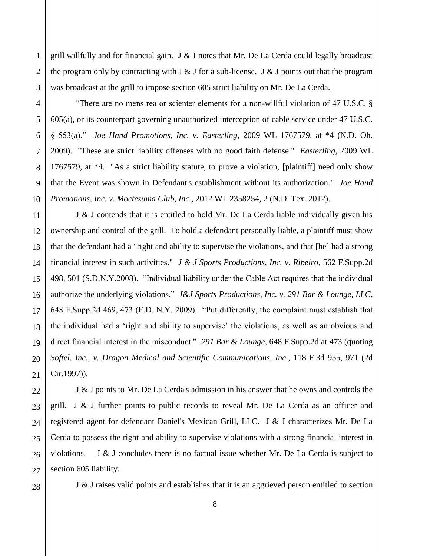grill willfully and for financial gain. J  $&$  J notes that Mr. De La Cerda could legally broadcast the program only by contracting with  $J \& J$  for a sub-license.  $J \& J$  points out that the program was broadcast at the grill to impose section 605 strict liability on Mr. De La Cerda.

"There are no mens rea or scienter elements for a non-willful violation of 47 U.S.C. § 605(a), or its counterpart governing unauthorized interception of cable service under 47 U.S.C. § 553(a)." *Joe Hand Promotions, Inc. v. Easterling*, 2009 WL 1767579, at \*4 (N.D. Oh. 2009). "These are strict liability offenses with no good faith defense." *Easterling*, 2009 WL 1767579, at \*4. "As a strict liability statute, to prove a violation, [plaintiff] need only show that the Event was shown in Defendant's establishment without its authorization." *Joe Hand Promotions, Inc. v. Moctezuma Club, Inc.,* 2012 WL 2358254, 2 (N.D. Tex. 2012).

J & J contends that it is entitled to hold Mr. De La Cerda liable individually given his ownership and control of the grill. To hold a defendant personally liable, a plaintiff must show that the defendant had a "right and ability to supervise the violations, and that [he] had a strong financial interest in such activities." *J & J Sports Productions, Inc. v. Ribeiro*, 562 F.Supp.2d 498, 501 (S.D.N.Y.2008). "Individual liability under the Cable Act requires that the individual authorize the underlying violations." *J&J Sports Productions, Inc. v. 291 Bar & Lounge, LLC*, 648 F.Supp.2d 469, 473 (E.D. N.Y. 2009). "Put differently, the complaint must establish that the individual had a 'right and ability to supervise' the violations, as well as an obvious and direct financial interest in the misconduct." *291 Bar & Lounge*, 648 F.Supp.2d at 473 (quoting *Softel, Inc., v. Dragon Medical and Scientific Communications, Inc.*, 118 F.3d 955, 971 (2d Cir.1997)).

J & J points to Mr. De La Cerda's admission in his answer that he owns and controls the grill. J & J further points to public records to reveal Mr. De La Cerda as an officer and registered agent for defendant Daniel's Mexican Grill, LLC. J & J characterizes Mr. De La Cerda to possess the right and ability to supervise violations with a strong financial interest in violations. J & J concludes there is no factual issue whether Mr. De La Cerda is subject to section 605 liability.

J & J raises valid points and establishes that it is an aggrieved person entitled to section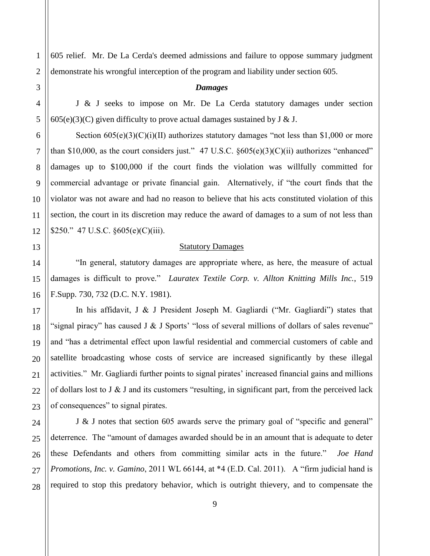605 relief. Mr. De La Cerda's deemed admissions and failure to oppose summary judgment demonstrate his wrongful interception of the program and liability under section 605.

#### *Damages*

J & J seeks to impose on Mr. De La Cerda statutory damages under section  $605(e)(3)(C)$  given difficulty to prove actual damages sustained by J & J.

Section  $605(e)(3)(C)(i)(II)$  authorizes statutory damages "not less than \$1,000 or more than \$10,000, as the court considers just." 47 U.S.C.  $\frac{\frac{1}{5605(e)(3)(C)(ii)}}{6000(e)(3)(C)(i)}$  authorizes "enhanced" damages up to \$100,000 if the court finds the violation was willfully committed for commercial advantage or private financial gain. Alternatively, if "the court finds that the violator was not aware and had no reason to believe that his acts constituted violation of this section, the court in its discretion may reduce the award of damages to a sum of not less than \$250." 47 U.S.C. §605(e)(C)(iii).

#### Statutory Damages

 "In general, statutory damages are appropriate where, as here, the measure of actual damages is difficult to prove." *Lauratex Textile Corp. v. Allton Knitting Mills Inc.*, 519 F.Supp. 730, 732 (D.C. N.Y. 1981).

In his affidavit, J & J President Joseph M. Gagliardi ("Mr. Gagliardi") states that "signal piracy" has caused J  $&$  J Sports' "loss of several millions of dollars of sales revenue" and "has a detrimental effect upon lawful residential and commercial customers of cable and satellite broadcasting whose costs of service are increased significantly by these illegal activities." Mr. Gagliardi further points to signal pirates' increased financial gains and millions of dollars lost to J  $\&$  J and its customers "resulting, in significant part, from the perceived lack of consequences" to signal pirates.

J & J notes that section 605 awards serve the primary goal of "specific and general" deterrence. The "amount of damages awarded should be in an amount that is adequate to deter these Defendants and others from committing similar acts in the future." *Joe Hand Promotions, Inc. v. Gamino*, 2011 WL 66144, at \*4 (E.D. Cal. 2011). A "firm judicial hand is required to stop this predatory behavior, which is outright thievery, and to compensate the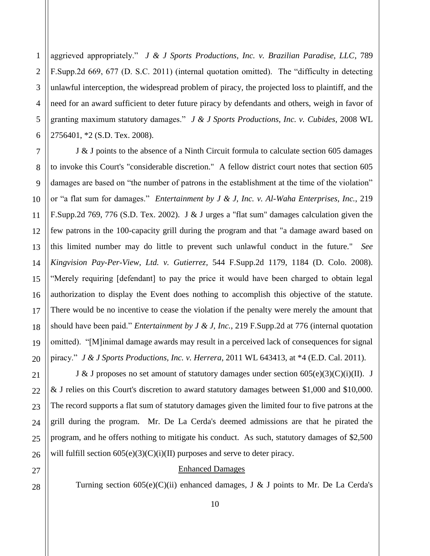1 aggrieved appropriately." *J & J Sports Productions, Inc. v. Brazilian Paradise, LLC*, 789 F.Supp.2d 669, 677 (D. S.C. 2011) (internal quotation omitted). The "difficulty in detecting unlawful interception, the widespread problem of piracy, the projected loss to plaintiff, and the need for an award sufficient to deter future piracy by defendants and others, weigh in favor of granting maximum statutory damages." *J & J Sports Productions, Inc. v. Cubides*, 2008 WL 2756401, \*2 (S.D. Tex. 2008).

J & J points to the absence of a Ninth Circuit formula to calculate section 605 damages to invoke this Court's "considerable discretion." A fellow district court notes that section 605 damages are based on "the number of patrons in the establishment at the time of the violation" or "a flat sum for damages." *Entertainment by J & J, Inc. v. Al-Waha Enterprises, Inc.*, 219 F.Supp.2d 769, 776 (S.D. Tex. 2002). J & J urges a "flat sum" damages calculation given the few patrons in the 100-capacity grill during the program and that "a damage award based on this limited number may do little to prevent such unlawful conduct in the future." *See Kingvision Pay-Per-View, Ltd. v. Gutierrez,* 544 F.Supp.2d 1179, 1184 (D. Colo. 2008). "Merely requiring [defendant] to pay the price it would have been charged to obtain legal authorization to display the Event does nothing to accomplish this objective of the statute. There would be no incentive to cease the violation if the penalty were merely the amount that should have been paid." *Entertainment by J & J, Inc.*, 219 F.Supp.2d at 776 (internal quotation omitted). "[M]inimal damage awards may result in a perceived lack of consequences for signal piracy." *J & J Sports Productions, Inc. v. Herrera*, 2011 WL 643413, at \*4 (E.D. Cal. 2011).

J & J proposes no set amount of statutory damages under section  $605(e)(3)(C)(i)(II)$ . J & J relies on this Court's discretion to award statutory damages between \$1,000 and \$10,000. The record supports a flat sum of statutory damages given the limited four to five patrons at the grill during the program. Mr. De La Cerda's deemed admissions are that he pirated the program, and he offers nothing to mitigate his conduct. As such, statutory damages of \$2,500 will fulfill section  $605(e)(3)(C)(i)(II)$  purposes and serve to deter piracy.

#### Enhanced Damages

Turning section  $605(e)(C)(ii)$  enhanced damages, J & J points to Mr. De La Cerda's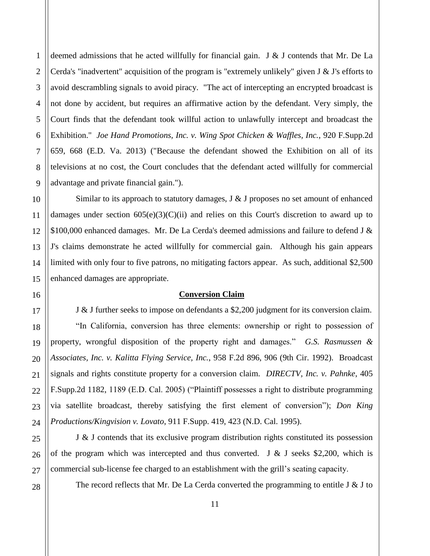deemed admissions that he acted willfully for financial gain. J & J contends that Mr. De La Cerda's "inadvertent" acquisition of the program is "extremely unlikely" given J & J's efforts to avoid descrambling signals to avoid piracy. "The act of intercepting an encrypted broadcast is not done by accident, but requires an affirmative action by the defendant. Very simply, the Court finds that the defendant took willful action to unlawfully intercept and broadcast the Exhibition." *Joe Hand Promotions, Inc. v. Wing Spot Chicken & Waffles, Inc., 920 F.Supp.2d* 659, 668 (E.D. Va. 2013) ("Because the defendant showed the Exhibition on all of its televisions at no cost, the Court concludes that the defendant acted willfully for commercial advantage and private financial gain.").

Similar to its approach to statutory damages,  $J \& J$  proposes no set amount of enhanced damages under section  $605(e)(3)(C)(ii)$  and relies on this Court's discretion to award up to \$100,000 enhanced damages. Mr. De La Cerda's deemed admissions and failure to defend J & J's claims demonstrate he acted willfully for commercial gain. Although his gain appears limited with only four to five patrons, no mitigating factors appear. As such, additional \$2,500 enhanced damages are appropriate.

#### **Conversion Claim**

J & J further seeks to impose on defendants a \$2,200 judgment for its conversion claim. "In California, conversion has three elements: ownership or right to possession of property, wrongful disposition of the property right and damages." *G.S. Rasmussen & Associates, Inc. v. Kalitta Flying Service, Inc.*, 958 F.2d 896, 906 (9th Cir. 1992). Broadcast signals and rights constitute property for a conversion claim. *DIRECTV, Inc. v. Pahnke*, 405 F.Supp.2d 1182, 1189 (E.D. Cal. 2005) ("Plaintiff possesses a right to distribute programming via satellite broadcast, thereby satisfying the first element of conversion"); *Don King Productions/Kingvision v. Lovato*, 911 F.Supp. 419, 423 (N.D. Cal. 1995).

J & J contends that its exclusive program distribution rights constituted its possession of the program which was intercepted and thus converted. J & J seeks \$2,200, which is commercial sub-license fee charged to an establishment with the grill's seating capacity.

The record reflects that Mr. De La Cerda converted the programming to entitle J  $&$  J to

1